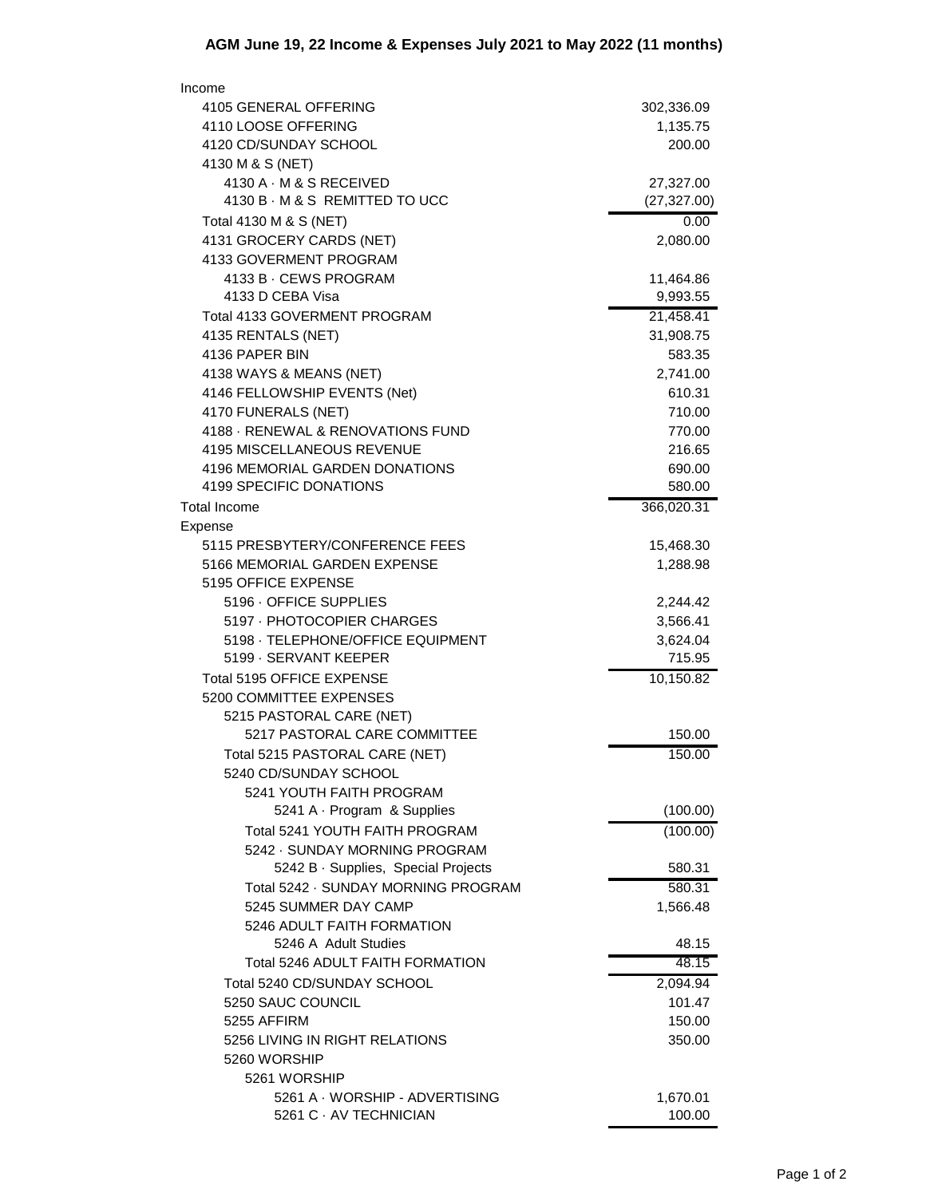| Income                                                    |                      |
|-----------------------------------------------------------|----------------------|
| 4105 GENERAL OFFERING                                     | 302,336.09           |
| 4110 LOOSE OFFERING                                       | 1,135.75             |
| 4120 CD/SUNDAY SCHOOL                                     | 200.00               |
| 4130 M & S (NET)                                          |                      |
| 4130 A · M & S RECEIVED<br>4130 B · M & S REMITTED TO UCC | 27,327.00            |
| Total 4130 M & S (NET)                                    | (27, 327.00)<br>0.00 |
| 4131 GROCERY CARDS (NET)                                  | 2,080.00             |
| 4133 GOVERMENT PROGRAM                                    |                      |
| 4133 B · CEWS PROGRAM                                     | 11,464.86            |
| 4133 D CEBA Visa                                          | 9,993.55             |
| Total 4133 GOVERMENT PROGRAM                              | 21,458.41            |
| 4135 RENTALS (NET)                                        | 31,908.75            |
| 4136 PAPER BIN                                            | 583.35               |
| 4138 WAYS & MEANS (NET)                                   | 2,741.00             |
| 4146 FELLOWSHIP EVENTS (Net)                              | 610.31               |
| 4170 FUNERALS (NET)                                       | 710.00               |
| 4188 - RENEWAL & RENOVATIONS FUND                         | 770.00               |
| 4195 MISCELLANEOUS REVENUE                                | 216.65               |
| 4196 MEMORIAL GARDEN DONATIONS                            | 690.00               |
| 4199 SPECIFIC DONATIONS                                   | 580.00               |
| <b>Total Income</b>                                       | 366,020.31           |
| Expense<br>5115 PRESBYTERY/CONFERENCE FEES                | 15,468.30            |
| 5166 MEMORIAL GARDEN EXPENSE                              | 1,288.98             |
| 5195 OFFICE EXPENSE                                       |                      |
| 5196 · OFFICE SUPPLIES                                    | 2,244.42             |
| 5197 - PHOTOCOPIER CHARGES                                | 3,566.41             |
| 5198 · TELEPHONE/OFFICE EQUIPMENT                         | 3,624.04             |
| 5199 · SERVANT KEEPER                                     | 715.95               |
| Total 5195 OFFICE EXPENSE                                 | 10,150.82            |
| 5200 COMMITTEE EXPENSES                                   |                      |
| 5215 PASTORAL CARE (NET)                                  |                      |
| 5217 PASTORAL CARE COMMITTEE                              | 150.00               |
| Total 5215 PASTORAL CARE (NET)                            | 150.00               |
| 5240 CD/SUNDAY SCHOOL                                     |                      |
| 5241 YOUTH FAITH PROGRAM<br>5241 A · Program & Supplies   | (100.00)             |
| Total 5241 YOUTH FAITH PROGRAM                            | (100.00)             |
| 5242 · SUNDAY MORNING PROGRAM                             |                      |
| 5242 B · Supplies, Special Projects                       | 580.31               |
| Total 5242 · SUNDAY MORNING PROGRAM                       | 580.31               |
| 5245 SUMMER DAY CAMP                                      | 1,566.48             |
| 5246 ADULT FAITH FORMATION                                |                      |
| 5246 A Adult Studies                                      | 48.15                |
| Total 5246 ADULT FAITH FORMATION                          | 48.15                |
| Total 5240 CD/SUNDAY SCHOOL                               | 2,094.94             |
| 5250 SAUC COUNCIL                                         | 101.47               |
| 5255 AFFIRM                                               | 150.00               |
| 5256 LIVING IN RIGHT RELATIONS                            | 350.00               |
| 5260 WORSHIP                                              |                      |
| 5261 WORSHIP<br>5261 A · WORSHIP - ADVERTISING            | 1,670.01             |
| 5261 C · AV TECHNICIAN                                    | 100.00               |